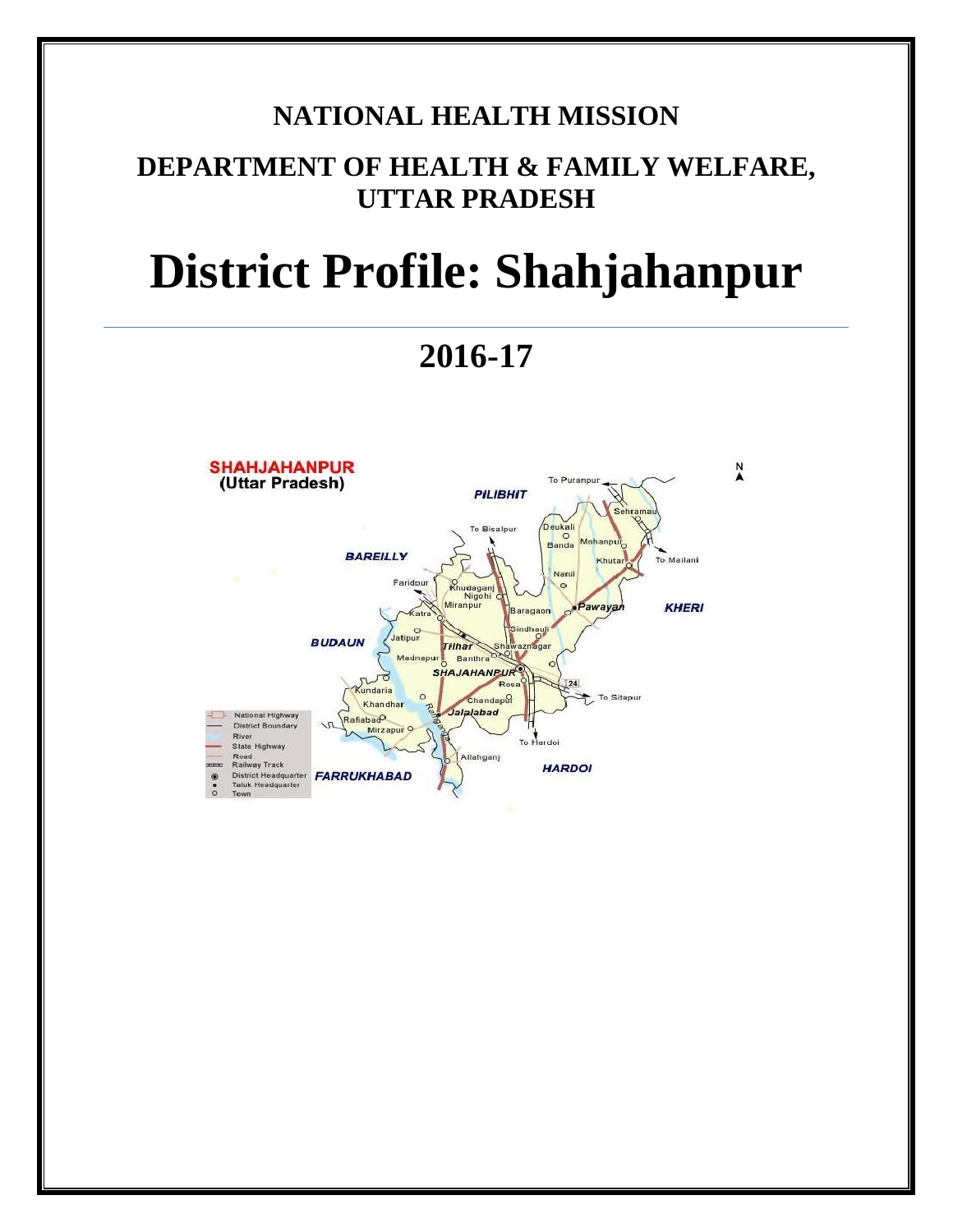## **NATIONAL HEALTH MISSION**

# **DEPARTMENT OF HEALTH & FAMILY WELFARE, UTTAR PRADESH**

# **District Profile: Shahjahanpur**

**2016-17**

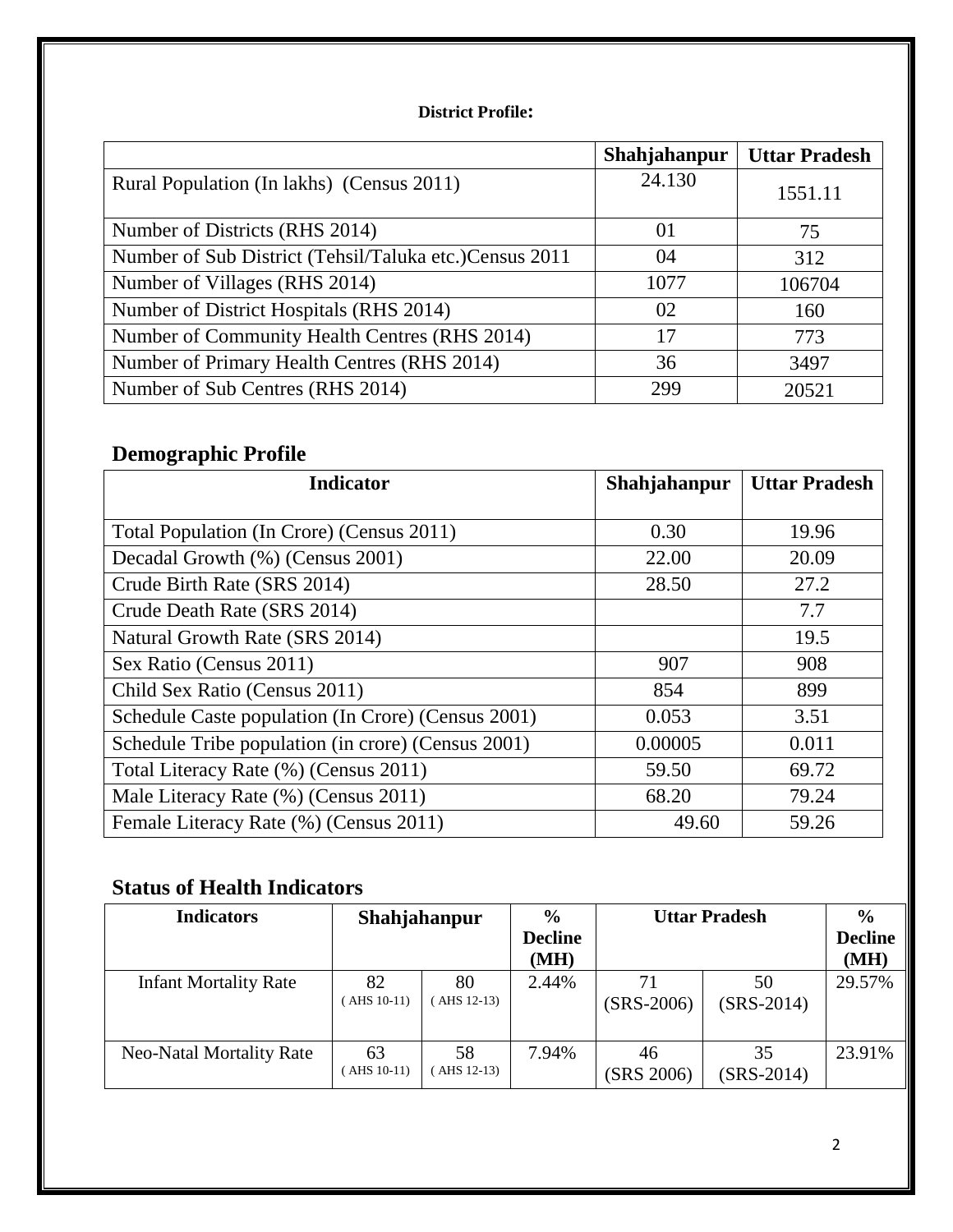#### **District Profile:**

|                                                         | Shahjahanpur | <b>Uttar Pradesh</b> |
|---------------------------------------------------------|--------------|----------------------|
| Rural Population (In lakhs) (Census 2011)               | 24.130       | 1551.11              |
| Number of Districts (RHS 2014)                          | 01           | 75                   |
| Number of Sub District (Tehsil/Taluka etc.) Census 2011 | 04           | 312                  |
| Number of Villages (RHS 2014)                           | 1077         | 106704               |
| Number of District Hospitals (RHS 2014)                 | 02           | 160                  |
| Number of Community Health Centres (RHS 2014)           | 17           | 773                  |
| Number of Primary Health Centres (RHS 2014)             | 36           | 3497                 |
| Number of Sub Centres (RHS 2014)                        | 299          | 20521                |

## **Demographic Profile**

| <b>Indicator</b>                                   | Shahjahanpur | <b>Uttar Pradesh</b> |
|----------------------------------------------------|--------------|----------------------|
|                                                    |              |                      |
| Total Population (In Crore) (Census 2011)          | 0.30         | 19.96                |
| Decadal Growth (%) (Census 2001)                   | 22.00        | 20.09                |
| Crude Birth Rate (SRS 2014)                        | 28.50        | 27.2                 |
| Crude Death Rate (SRS 2014)                        |              | 7.7                  |
| Natural Growth Rate (SRS 2014)                     |              | 19.5                 |
| Sex Ratio (Census 2011)                            | 907          | 908                  |
| Child Sex Ratio (Census 2011)                      | 854          | 899                  |
| Schedule Caste population (In Crore) (Census 2001) | 0.053        | 3.51                 |
| Schedule Tribe population (in crore) (Census 2001) | 0.00005      | 0.011                |
| Total Literacy Rate (%) (Census 2011)              | 59.50        | 69.72                |
| Male Literacy Rate (%) (Census 2011)               | 68.20        | 79.24                |
| Female Literacy Rate (%) (Census 2011)             | 49.60        | 59.26                |

## **Status of Health Indicators**

| <b>Indicators</b>               | Shahjahanpur       |                  | $\frac{0}{0}$<br><b>Decline</b><br>(MH) | <b>Uttar Pradesh</b> |                    | $\frac{6}{6}$<br><b>Decline</b><br>(MH) |
|---------------------------------|--------------------|------------------|-----------------------------------------|----------------------|--------------------|-----------------------------------------|
| <b>Infant Mortality Rate</b>    | 82<br>AHS 10-11)   | 80<br>AHS 12-13) | 2.44%                                   | 71<br>$(SRS-2006)$   | 50<br>$(SRS-2014)$ | 29.57%                                  |
| <b>Neo-Natal Mortality Rate</b> | 63<br>$AHS$ 10-11) | 58<br>AHS 12-13) | 7.94%                                   | 46<br>(SRS 2006)     | 35<br>$(SRS-2014)$ | 23.91%                                  |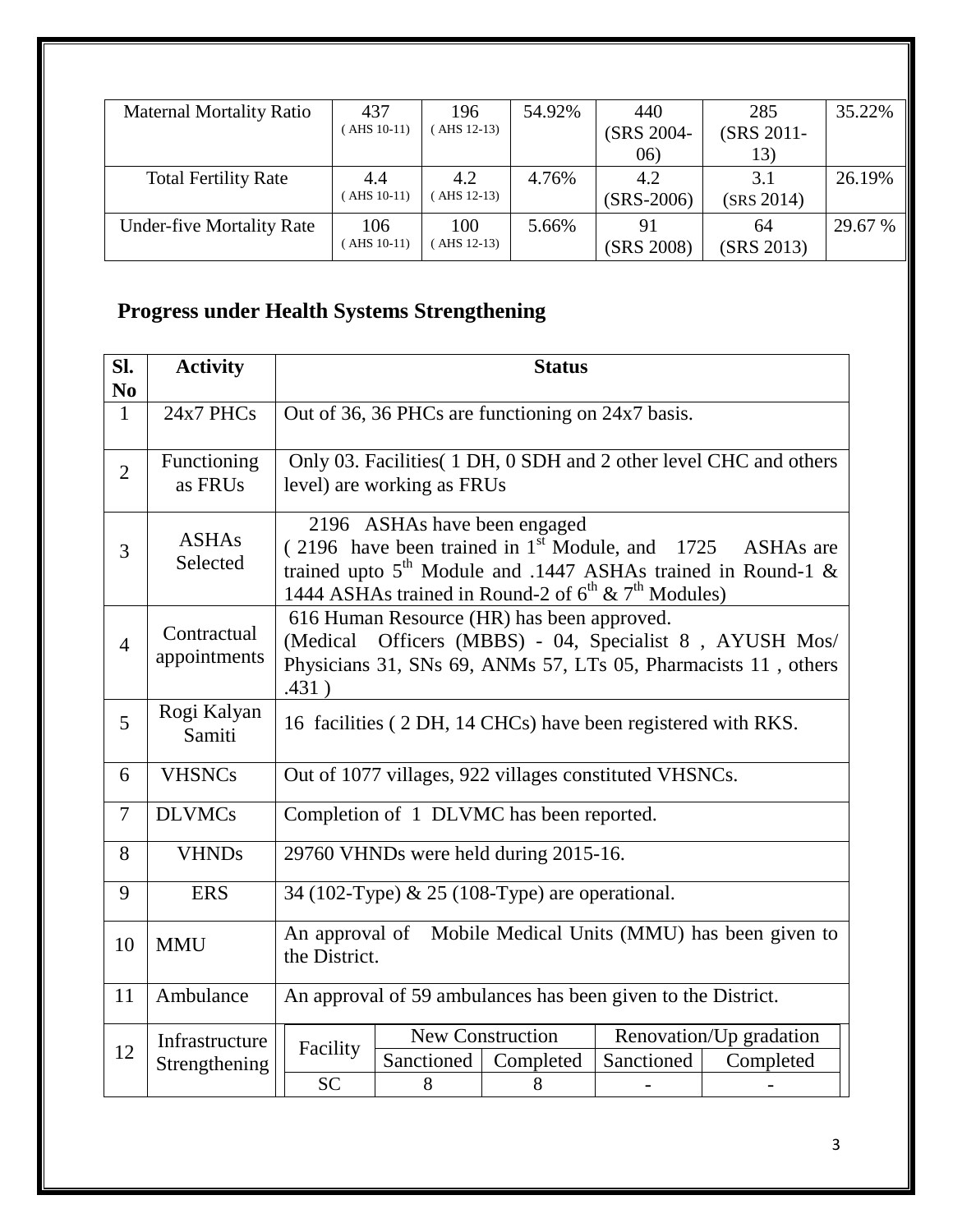| <b>Maternal Mortality Ratio</b>  | 437           | 196        | 54.92% | 440          | 285        | 35.22%  |
|----------------------------------|---------------|------------|--------|--------------|------------|---------|
|                                  | $(AHS 10-11)$ | AHS 12-13) |        | (SRS 2004-   | (SRS 2011- |         |
|                                  |               |            |        | 06)          | 13)        |         |
| <b>Total Fertility Rate</b>      | 4.4           | 4.2        | 4.76%  | 4.2          | 3.1        | 26.19%  |
|                                  | $AHS$ 10-11)  | AHS 12-13) |        | $(SRS-2006)$ | (SRS 2014) |         |
| <b>Under-five Mortality Rate</b> | 106           | 100        | 5.66%  | 91           | 64         | 29.67 % |
|                                  | $AHS$ 10-11)  | AHS 12-13) |        | (SRS 2008)   | (SRS 2013) |         |

## **Progress under Health Systems Strengthening**

| Sl.<br>N <sub>0</sub> | <b>Activity</b>                 |                                                                                                                                                                                      |                                                                                                                                                                                                                                                                        | <b>Status</b>                                          |            |                                                                   |
|-----------------------|---------------------------------|--------------------------------------------------------------------------------------------------------------------------------------------------------------------------------------|------------------------------------------------------------------------------------------------------------------------------------------------------------------------------------------------------------------------------------------------------------------------|--------------------------------------------------------|------------|-------------------------------------------------------------------|
| $\mathbf{1}$          | 24x7 PHCs                       |                                                                                                                                                                                      |                                                                                                                                                                                                                                                                        | Out of 36, 36 PHCs are functioning on 24x7 basis.      |            |                                                                   |
| $\overline{2}$        | Functioning<br>as FRUs          |                                                                                                                                                                                      | level) are working as FRUs                                                                                                                                                                                                                                             |                                                        |            | Only 03. Facilities (1 DH, 0 SDH and 2 other level CHC and others |
| 3                     | <b>ASHAs</b><br>Selected        |                                                                                                                                                                                      | 2196 ASHAs have been engaged<br>$(2196)$ have been trained in 1 <sup>st</sup> Module, and 1725<br>ASHAs are<br>trained upto 5 <sup>th</sup> Module and .1447 ASHAs trained in Round-1 &<br>1444 ASHAs trained in Round-2 of 6 <sup>th</sup> & 7 <sup>th</sup> Modules) |                                                        |            |                                                                   |
| $\overline{4}$        | Contractual<br>appointments     | 616 Human Resource (HR) has been approved.<br>Officers (MBBS) - 04, Specialist 8, AYUSH Mos/<br>(Medical)<br>Physicians 31, SNs 69, ANMs 57, LTs 05, Pharmacists 11, others<br>.431) |                                                                                                                                                                                                                                                                        |                                                        |            |                                                                   |
| 5                     | Rogi Kalyan<br>Samiti           | 16 facilities (2 DH, 14 CHCs) have been registered with RKS.                                                                                                                         |                                                                                                                                                                                                                                                                        |                                                        |            |                                                                   |
| 6                     | <b>VHSNCs</b>                   |                                                                                                                                                                                      |                                                                                                                                                                                                                                                                        | Out of 1077 villages, 922 villages constituted VHSNCs. |            |                                                                   |
| $\overline{7}$        | <b>DLVMCs</b>                   |                                                                                                                                                                                      |                                                                                                                                                                                                                                                                        | Completion of 1 DLVMC has been reported.               |            |                                                                   |
| 8                     | <b>VHNDs</b>                    |                                                                                                                                                                                      |                                                                                                                                                                                                                                                                        | 29760 VHNDs were held during 2015-16.                  |            |                                                                   |
| 9                     | <b>ERS</b>                      | 34 (102-Type) & 25 (108-Type) are operational.                                                                                                                                       |                                                                                                                                                                                                                                                                        |                                                        |            |                                                                   |
| 10                    | <b>MMU</b>                      | An approval of Mobile Medical Units (MMU) has been given to<br>the District.                                                                                                         |                                                                                                                                                                                                                                                                        |                                                        |            |                                                                   |
| 11                    | Ambulance                       | An approval of 59 ambulances has been given to the District.                                                                                                                         |                                                                                                                                                                                                                                                                        |                                                        |            |                                                                   |
| 12                    | Infrastructure<br>Strengthening | Facility<br><b>SC</b>                                                                                                                                                                | Sanctioned<br>8                                                                                                                                                                                                                                                        | New Construction<br>Completed<br>8                     | Sanctioned | Renovation/Up gradation<br>Completed                              |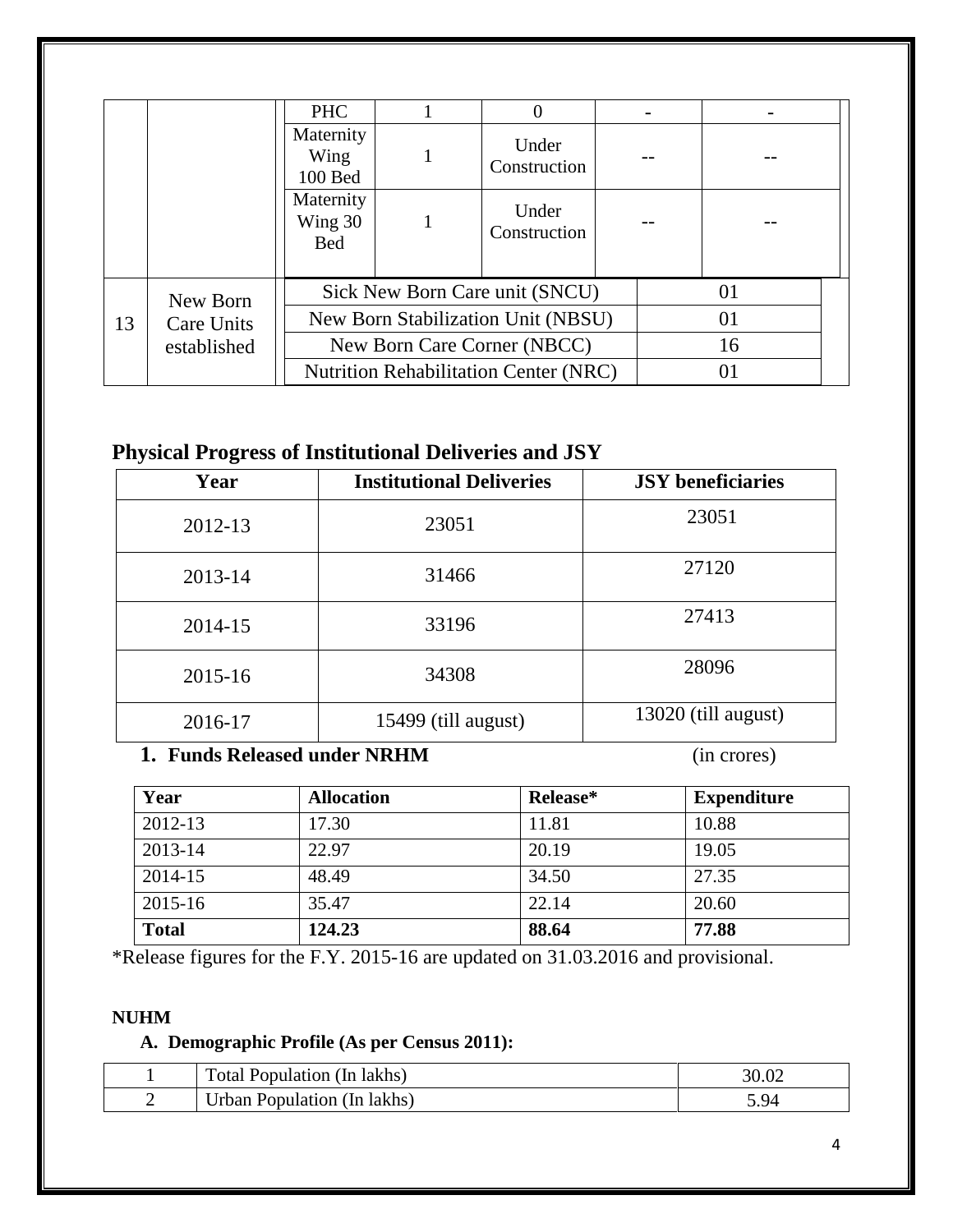|    |             | <b>PHC</b>                         |                                    | 0                                            |  |    |  |
|----|-------------|------------------------------------|------------------------------------|----------------------------------------------|--|----|--|
|    |             | Maternity<br>Wing<br>100 Bed       |                                    | Under<br>Construction                        |  |    |  |
|    |             | Maternity<br>Wing 30<br><b>Bed</b> |                                    | Under<br>Construction                        |  |    |  |
|    | New Born    |                                    |                                    | Sick New Born Care unit (SNCU)               |  | 01 |  |
| 13 | Care Units  |                                    | New Born Stabilization Unit (NBSU) |                                              |  | 01 |  |
|    | established |                                    | New Born Care Corner (NBCC)        |                                              |  | 16 |  |
|    |             |                                    |                                    | <b>Nutrition Rehabilitation Center (NRC)</b> |  | 01 |  |

### **Physical Progress of Institutional Deliveries and JSY**

| Year    | <b>Institutional Deliveries</b> | <b>JSY</b> beneficiaries |
|---------|---------------------------------|--------------------------|
| 2012-13 | 23051                           | 23051                    |
| 2013-14 | 31466                           | 27120                    |
| 2014-15 | 33196                           | 27413                    |
| 2015-16 | 34308                           | 28096                    |
| 2016-17 | 15499 (till august)             | 13020 (till august)      |

#### **1. Funds Released under NRHM** (in crores)

| Year         | <b>Allocation</b> | Release* | <b>Expenditure</b> |
|--------------|-------------------|----------|--------------------|
| 2012-13      | 17.30             | 11.81    | 10.88              |
| 2013-14      | 22.97             | 20.19    | 19.05              |
| 2014-15      | 48.49             | 34.50    | 27.35              |
| 2015-16      | 35.47             | 22.14    | 20.60              |
| <b>Total</b> | 124.23            | 88.64    | 77.88              |

\*Release figures for the F.Y. 2015-16 are updated on 31.03.2016 and provisional.

#### **NUHM**

#### **A. Demographic Profile (As per Census 2011):**

|   | Total 1<br>Population (In lakhs) |              |
|---|----------------------------------|--------------|
| - | Urban Population (In lakhs)      | $Q_{\Delta}$ |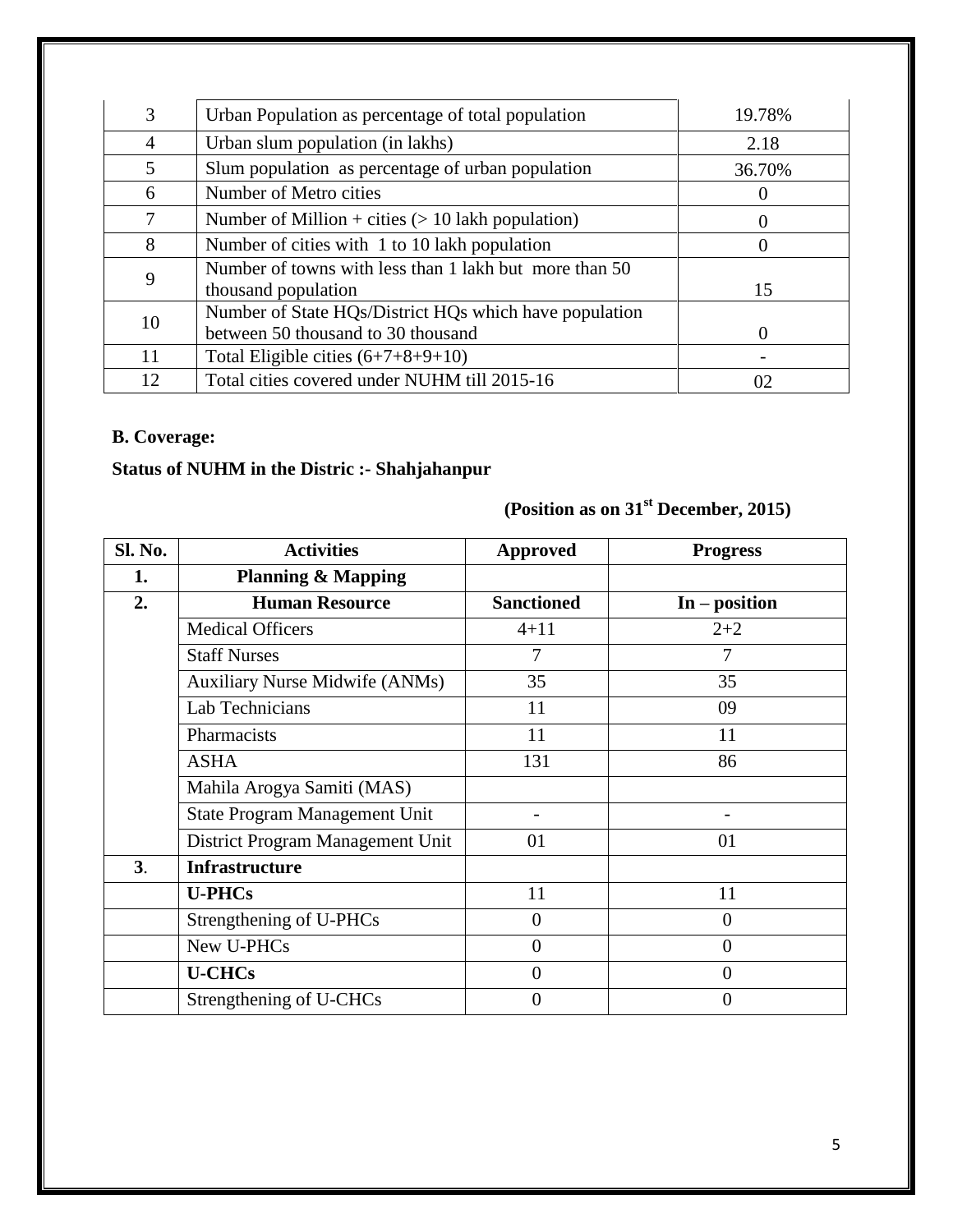| 3              | Urban Population as percentage of total population                                           | 19.78%            |
|----------------|----------------------------------------------------------------------------------------------|-------------------|
| $\overline{4}$ | Urban slum population (in lakhs)                                                             | 2.18              |
| 5              | Slum population as percentage of urban population                                            | 36.70%            |
| 6              | Number of Metro cities                                                                       |                   |
| 7              | Number of Million + cities $(> 10$ lakh population)                                          | $\theta$          |
| 8              | Number of cities with 1 to 10 lakh population                                                | $\theta$          |
| 9              | Number of towns with less than 1 lakh but more than 50<br>thousand population                | 15                |
| 10             | Number of State HQs/District HQs which have population<br>between 50 thousand to 30 thousand | $\mathbf{\Omega}$ |
| 11             | Total Eligible cities $(6+7+8+9+10)$                                                         |                   |
| 12             | Total cities covered under NUHM till 2015-16                                                 | 02                |

#### **B. Coverage:**

#### **Status of NUHM in the Distric :- Shahjahanpur**

# **(Position as on 31st December, 2015)**

| Sl. No. | <b>Activities</b>                     | <b>Approved</b>   | <b>Progress</b> |
|---------|---------------------------------------|-------------------|-----------------|
| 1.      | <b>Planning &amp; Mapping</b>         |                   |                 |
| 2.      | <b>Human Resource</b>                 | <b>Sanctioned</b> | $In - position$ |
|         | <b>Medical Officers</b>               | $4 + 11$          | $2 + 2$         |
|         | <b>Staff Nurses</b>                   | $\overline{7}$    | 7               |
|         | <b>Auxiliary Nurse Midwife (ANMs)</b> | 35                | 35              |
|         | Lab Technicians                       | 11                | 09              |
|         | Pharmacists                           | 11                | 11              |
|         | <b>ASHA</b>                           | 131               | 86              |
|         | Mahila Arogya Samiti (MAS)            |                   |                 |
|         | State Program Management Unit         |                   |                 |
|         | District Program Management Unit      | 01                | 01              |
| 3.      | <b>Infrastructure</b>                 |                   |                 |
|         | <b>U-PHCs</b>                         | 11                | 11              |
|         | Strengthening of U-PHCs               | $\overline{0}$    | $\overline{0}$  |
|         | New U-PHCs                            | $\overline{0}$    | $\overline{0}$  |
|         | <b>U-CHCs</b>                         | $\overline{0}$    | $\overline{0}$  |
|         | Strengthening of U-CHCs               | 0                 | 0               |